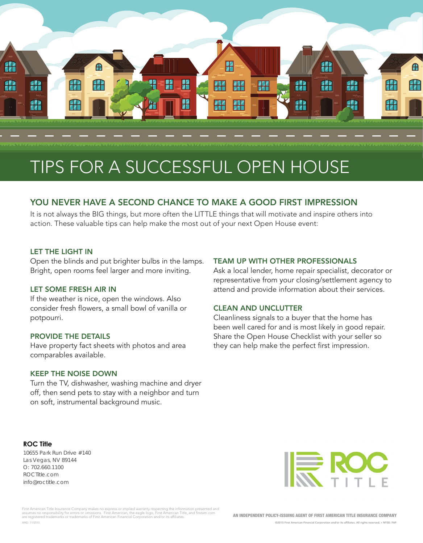

# TIPS FOR A SUCCESSFUL OPEN HOUSE

### YOU NEVER HAVE A SECOND CHANCE TO MAKE A GOOD FIRST IMPRESSION

It is not always the BIG things, but more often the LITTLE things that will motivate and inspire others into action. These valuable tips can help make the most out of your next Open House event:

#### LET THE LIGHT IN

Open the blinds and put brighter bulbs in the lamps. Bright, open rooms feel larger and more inviting.

#### LET SOME FRESH AIR IN

If the weather is nice, open the windows. Also consider fresh flowers, a small bowl of vanilla or potpourri.

#### PROVIDE THE DETAILS

Have property fact sheets with photos and area comparables available.

#### KEEP THE NOISE DOWN

Turn the TV, dishwasher, washing machine and dryer off, then send pets to stay with a neighbor and turn on soft, instrumental background music.

#### **ROC Title**

10655 Park Run Drive #140 Las Vegas, NV 89144 O: 702.660.1100 ROCTitle.com info@roctitle.com



First American Title Insurance Company makes no express or implied warranty respecting the information presented and<br>assumes no responsibility for errors or omissions. First American, the eagle logo, First American Title, AMD: 11/2015

AN INDEPENDENT POLICY-ISSUING AGENT OF FIRST AMERICAN TITLE INSURANCE COMPANY

TEAM UP WITH OTHER PROFESSIONALS

CLEAN AND UNCLUTTER

Ask a local lender, home repair specialist, decorator or representative from your closing/settlement agency to attend and provide information about their services.

Cleanliness signals to a buyer that the home has been well cared for and is most likely in good repair. Share the Open House Checklist with your seller so they can help make the perfect first impression.